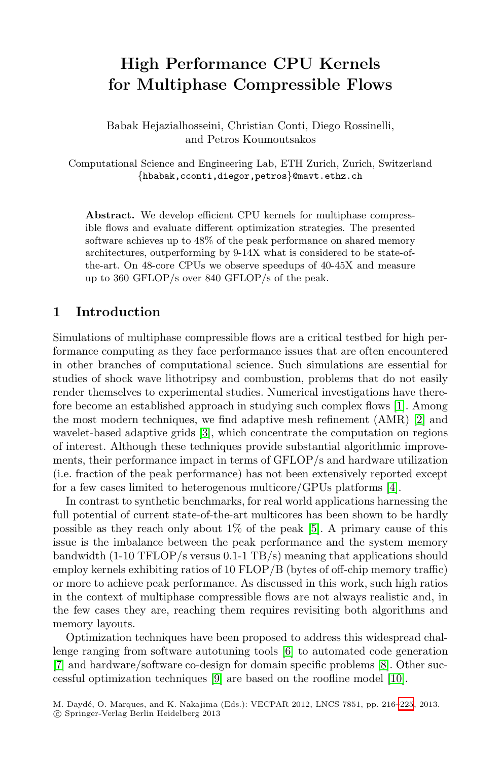# **High Performance CPU Kernels for Multiphase Compressible Flows**

Babak Hejazialhosseini, Christian Conti, Diego Rossinelli, and Petros Koumoutsakos

Computational Science and Engineering Lab, ETH Zurich, Zurich, Switzerland *{*hbabak,cconti,diegor,petros*}*@mavt.ethz.ch

**Abstract.** We develop efficient CPU kernels for multiphase compressible flows and evaluate different optimization strategies. The presented software achieves up to 48% of the peak performance on shared memory architectures, outperforming by 9-14X what is considered to be state-ofthe-art. On 48-core CPUs we observe speedups of 40-45X and measure up to 360 GFLOP/s over 840 GFLOP/s of the peak.

## **1 Introduction**

Simulations [o](#page-8-0)f multiphase compressible flows are a critical testbed for high performance computing as they face performance issues that are often encountered in other branches of computational science. Such simulations are essential for studies of shock wave lithotripsy and combustio[n,](#page-8-1) problems that do not easily render themselves to experimental studies. Numerical investigations have therefore become an established approach in studying such complex flows [1]. Among the most modern techniques, we [fin](#page-9-0)d adaptive mesh refinement (AMR) [2] and wavelet-based adaptive grids [3], which concentrate the computation on regions of interest. Although these techniques provide substantial algorithmic improvements, their performance impact in terms of GFLOP/s and hardware utilization (i.e. fraction of the peak performance) has not been extensively reported except for a few cases limited to heterogenous multicore/GPUs platforms [4].

In contrast to synthetic benchmarks, for real world applications harnessing the full potential of current state-of-the-art multicores has been shown to be hardly possible as they reach only about 1% of the peak [5]. A primary cause of this issue is the imbalance betw[een](#page-9-1) the peak performance and the system memory bandwidth (1-10 TFLOP/s versus 0.1-1 TB/s) [me](#page-9-2)aning that applications should employ kernel[s e](#page-9-3)xhibiting ratios of 10 FLOP/B (b[ytes](#page-9-4) of off-chip memory traffic) or more to achieve peak performance. As discussed in this work, such high ratios in the context of multiphase compressible flows are [no](#page-9-5)t always realistic and, in the few cases they are, reaching them requires revisiting both algorithms and memory layouts.

Optimization techniques have been proposed to address this widespread challenge ranging from software autotuning tools [6] to automated code generation [7] and hardware/software co-design for domain specific problems [8]. Other successful optimization techniques [9] are based on the roofline model [10].

M. Dayd´e, O. Marques, and K. Nakajima (Eds.): VECPAR 2012, LNCS 7851, pp. 216–225, 2013. -c Springer-Verlag Berlin Heidelberg 2013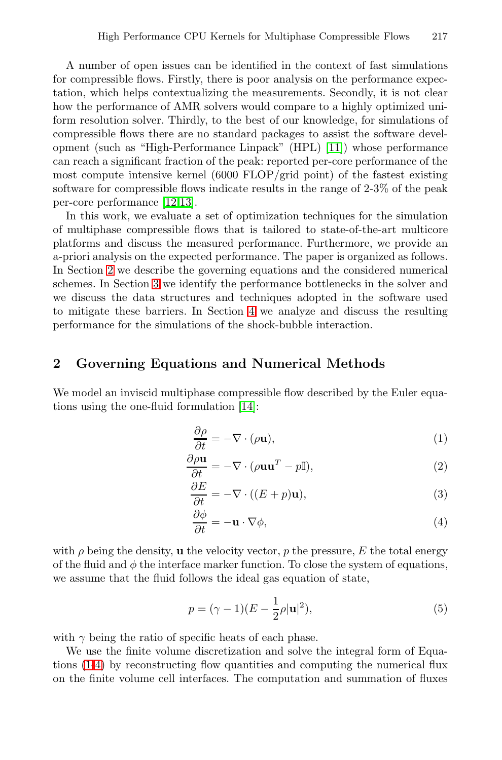A number of open issues can be identified in the context of fast simulations for compressible flows. Firstly, there is poor analysis on the performance expectati[on,](#page-9-7) [wh](#page-9-8)ich helps contextualizing the measurements. Secondly, it is not clear how the performance of AMR solvers would compare to a highly optimized uniform resolution solver. Thirdly, to the best of our knowledge, for simulations of compressible flows there are no standard packages to assist the software development (such as "High-Performance Linpack" (HPL) [11]) whose performance can reach a significant fraction of the peak: reported per-core performance of the m[os](#page-2-0)t compute intensive kernel (6000 FLOP/grid point) of the fastest existing software for compressible flows indicate results in the range of 2-3% of the peak per-core performance [\[1](#page-4-0)2,13].

In this work, we evaluate a set of optimization techniques for the simulation of multiphase compressible flows that is tailored to state-of-the-art multicore platforms and discuss the measured performance. Furthermore, we provide an a-priori analysis on the expected performance. The paper is organized as follows. In Section 2 we describe the governing equations and the considered numerical schemes. In Section 3 we identify the performance bottlenecks in the solver and we discuss the dat[a s](#page-9-9)tructures and techniques adopted in the software used to mitigate these barriers. In Section 4 we analyze and discuss the resulting performance for the simulations of the shock-bubble interaction.

## **2 Governing Equations and Numerical Methods**

We model an inviscid multiphase compressible flow described by the Euler equations using the one-fluid formulation [14]:

$$
\frac{\partial \rho}{\partial t} = -\nabla \cdot (\rho \mathbf{u}),\tag{1}
$$

$$
\frac{\partial \rho \mathbf{u}}{\partial t} = -\nabla \cdot (\rho \mathbf{u} \mathbf{u}^T - p \mathbb{I}),\tag{2}
$$

$$
\frac{\partial E}{\partial t} = -\nabla \cdot ((E + p) \mathbf{u}),\tag{3}
$$

$$
\frac{\partial \phi}{\partial t} = -\mathbf{u} \cdot \nabla \phi,\tag{4}
$$

with  $\rho$  being the density, **u** the velocity vector, p the pressure, E the total energy of the fluid and  $\phi$  the interface marker function. To close the system of equations, we assume that the fluid follows the ideal gas equation of state,

$$
p = (\gamma - 1)(E - \frac{1}{2}\rho |\mathbf{u}|^2),
$$
\n(5)

with  $\gamma$  being the ratio of specific heats of each phase.

We use the finite volume discretization and solve the integral form of Equations (1-4) by reconstructing flow quantities and computing the numerical flux on the finite volume cell interfaces. The computation and summation of fluxes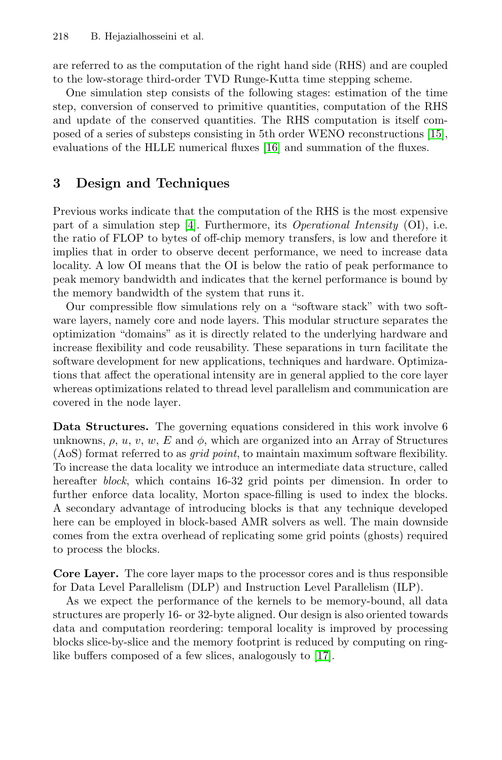<span id="page-2-0"></span>218 B. Hejazialhossein[i et](#page-9-10) al.

are referred to as the computation of the right hand side (RHS) and are coupled to the low-storage third-order TVD Runge-Kutta time stepping scheme.

One simulation step consists of the following stages: estimation of the time step, conversion of conserved to primitive quantities, computation of the RHS and upd[at](#page-8-1)e of the conserved quantities. The RHS computation is itself composed of a series of substeps consisting in 5th order WENO reconstructions [15], evaluations of the HLLE numerical fluxes [16] and summation of the fluxes.

### **3 Design and Techniques**

Previous works indicate that the computation of the RHS is the most expensive part of a simulation step [4]. Furthermore, its *Operational Intensity* (OI), i.e. the ratio of FLOP to bytes of off-chip memory transfers, is low and therefore it implies that in order to observe decent performance, we need to increase data locality. A low OI means that the OI is below the ratio of peak performance to peak memory bandwidth and indicates that the kernel performance is bound by the memory bandwidth of the system that runs it.

Our compressible flow simulations rely on a "software stack" with two software layers, namely core and node layers. This modular structure separates the optimization "domains" as it is directly related to the underlying hardware and increase flexibility and code reusability. These separations in turn facilitate the software development for new applications, techniques and hardware. Optimizations that affect the operational intensity are in general applied to the core layer whereas optimizations related to thread level parallelism and communication are covered in the node layer.

**Data Structures.** The governing equations considered in this work involve 6 unknowns,  $\rho$ ,  $u$ ,  $v$ ,  $w$ ,  $E$  and  $\phi$ , which are organized into an Array of Structures (AoS) format referred to as *grid point*, to maintain maximum software flexibility. To increase the data locality we introduce an intermediate data structure, called hereafter *block*, which contains 16-32 grid points per dimension. In order to further enforce data locality, Morton space-filling is used to index the blocks. A secondary advantage of introducing blocks is that any technique developed here can be employed in block-based AMR solvers as well. The main downside comes from the extra overhead of replicating some grid points (ghosts) required to process the blocks.

**Core Layer.** The core layer maps to the processor cores and is thus responsible for Data Level Parallelism (DLP) and Instruction Level Parallelism (ILP).

As we expect the performance of the kernels to be memory-bound, all data structures are properly 16- or 32-byte aligned. Our design is also oriented towards data and computation reordering: temporal locality is improved by processing blocks slice-by-slice and the memory footprint is reduced by computing on ringlike buffers composed of a few slices, analogously to [17].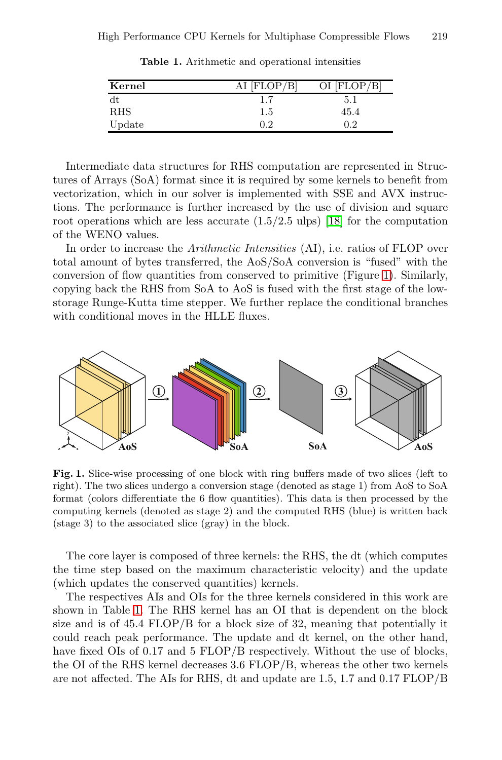| Kernel      | AI [FLOP/B] | OI [FLOP/B] |
|-------------|-------------|-------------|
| $_{\rm dt}$ |             | 5.1         |
| RHS         | 1.5         | 45.4        |
| Update      | 0.2         | $0.2\,$     |

<span id="page-3-1"></span>**Table 1.** Arithmetic and operational intensities

Intermediate data structures for RHS compu[tat](#page-3-0)ion are represented in Structures of Arrays (SoA) format since it is required by some kernels to benefit from vectorization, which in our solver is implemented with SSE and AVX instructions. The performance is further increased by the use of division and square root operations which are less accurate  $(1.5/2.5 \text{ ulps})$  [18] for the computation of the WENO values.

<span id="page-3-0"></span>In order to increase the *Arithmetic Intensities* (AI), i.e. ratios of FLOP over total amount of bytes transferred, the AoS/SoA conversion is "fused" with the conversion of flow quantities from conserved to primitive (Figure 1). Similarly, copying back the RHS from SoA to AoS is fused with the first stage of the lowstorage Runge-Kutta time stepper. We further replace the conditional branches with conditional moves in the HLLE fluxes.



Fig. 1. Slice-wise processing of one block with ring buffers made of two slices (left to right). The two slices undergo a conversion stage (denoted as stage 1) from AoS to SoA format (colors differentiate the 6 flow quantities). This data is then processed by the computing kernels (denoted as stage 2) and the computed RHS (blue) is written back (stage 3) to the associated slice (gray) in the block.

The core layer is composed of three kernels: the RHS, the dt (which computes the time step based on the maximum characteristic velocity) and the update (which updates the conserved quantities) kernels.

The respectives AIs and OIs for the three kernels considered in this work are shown in Table 1. The RHS kernel has an OI that is dependent on the block size and is of 45.4 FLOP/B for a block size of 32, meaning that potentially it could reach peak performance. The update and dt kernel, on the other hand, have fixed OIs of 0.17 and 5 FLOP/B respectively. Without the use of blocks, the OI of the RHS kernel decreases 3.6 FLOP/B, whereas the other two kernels are not affected. The AIs for RHS, dt and update are 1.5, 1.7 and 0.17 FLOP/B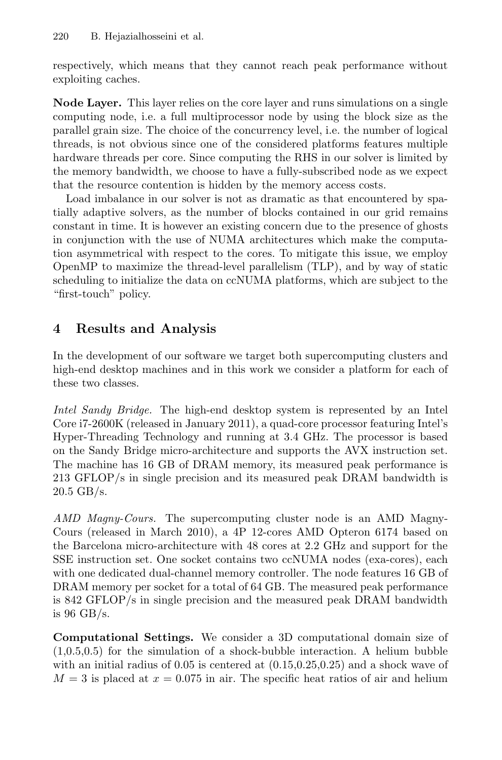respectively, which means that they cannot reach peak performance without exploiting caches.

**Node Layer.** This layer relies on the core layer and runs simulations on a single computing node, i.e. a full multiprocessor node by using the block size as the parallel grain size. The choice of the concurrency level, i.e. the number of logical threads, is not obvious since one of the considered platforms features multiple hardware threads per core. Since computing the RHS in our solver is limited by the memory bandwidth, we choose to have a fully-subscribed node as we expect that the resource contention is hidden by the memory access costs.

<span id="page-4-0"></span>Load imbalance in our solver is not as dramatic as that encountered by spatially adaptive solvers, as the number of blocks contained in our grid remains constant in time. It is however an existing concern due to the presence of ghosts in conjunction with the use of NUMA architectures which make the computation asymmetrical with respect to the cores. To mitigate this issue, we employ OpenMP to maximize the thread-level parallelism (TLP), and by way of static scheduling to initialize the data on ccNUMA platforms, which are subject to the "first-touch" policy.

## **4 Results and Analysis**

In the development of our software we target both supercomputing clusters and high-end desktop machines and in this work we consider a platform for each of these two classes.

*Intel Sandy Bridge.* The high-end desktop system is represented by an Intel Core i7-2600K (released in January 2011), a quad-core processor featuring Intel's Hyper-Threading Technology and running at 3.4 GHz. The processor is based on the Sandy Bridge micro-architecture and supports the AVX instruction set. The machine has 16 GB of DRAM memory, its measured peak performance is 213 GFLOP/s in single precision and its measured peak DRAM bandwidth is  $20.5$  GB/s.

*AMD Magny-Cours.* The supercomputing cluster node is an AMD Magny-Cours (released in March 2010), a 4P 12-cores AMD Opteron 6174 based on the Barcelona micro-architecture with 48 cores at 2.2 GHz and support for the SSE instruction set. One socket contains two ccNUMA nodes (exa-cores), each with one dedicated dual-channel memory controller. The node features 16 GB of DRAM memory per socket for a total of 64 GB. The measured peak performance is 842 GFLOP/s in single precision and the measured peak DRAM bandwidth is  $96 \text{ GB/s}$ .

**Computational Settings.** We consider a 3D computational domain size of (1,0.5,0.5) for the simulation of a shock-bubble interaction. A helium bubble with an initial radius of  $0.05$  is centered at  $(0.15,0.25,0.25)$  and a shock wave of  $M = 3$  is placed at  $x = 0.075$  in air. The specific heat ratios of air and helium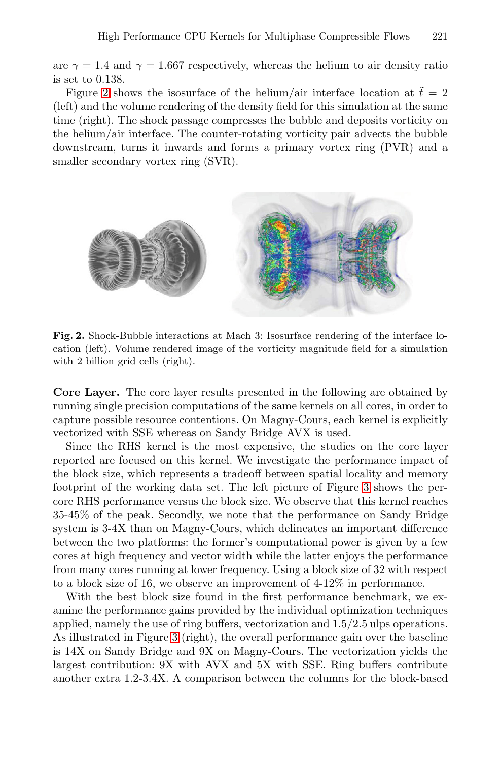are  $\gamma = 1.4$  and  $\gamma = 1.667$  respectively, whereas the helium to air density ratio is set to 0.138.

Figure 2 shows the isosurface of the helium/air interface location at  $\tilde{t} = 2$ (left) and the volume rendering of the density field for this simulation at the same time (right). The shock passage compresses the bubble and deposits vorticity on the helium/air interface. The counter-rotating vorticity pair advects the bubble downstream, turns it inwards and forms a primary vortex ring (PVR) and a smaller secondary vortex ring (SVR).



**Fig. 2.** Shock-Bubble interactions at Mach 3: Isosurface rendering of the interface location (left). Volume rendered image of the vorticity magnitude field for a simulation with 2 billion grid cells (right).

**Core Layer.** The core layer results presen[ted](#page-6-0) in the following are obtained by running single precision computations of the same kernels on all cores, in order to capture possible resource contentions. On Magny-Cours, each kernel is explicitly vectorized with SSE whereas on Sandy Bridge AVX is used.

Since the RHS kernel is the most expensive, the studies on the core layer reported are focused on this kernel. We investigate the performance impact of the block size, which represents a tradeoff between spatial locality and memory footprint of the working data set. The left picture of Figure 3 shows the percore RHS performance versus the block size. We observe that this kernel reaches 35-45% of the peak. Secondly, we note that the performance on Sandy Bridge syste[m](#page-6-0) is 3-4X than on Magny-Cours, which delineates an important difference between the two platforms: the former's computational power is given by a few cores at high frequency and vector width while the latter enjoys the performance from many cores running at lower frequency. Using a block size of 32 with respect to a block size of 16, we observe an improvement of 4-12% in performance.

With the best block size found in the first performance benchmark, we examine the performance gains provided by the individual optimization techniques applied, namely the use of ring buffers, vectorization and 1.5/2.5 ulps operations. As illustrated in Figure 3 (right), the overall performance gain over the baseline is 14X on Sandy Bridge and 9X on Magny-Cours. The vectorization yields the largest contribution: 9X with AVX and 5X with SSE. Ring buffers contribute another extra 1.2-3.4X. A comparison between the columns for the block-based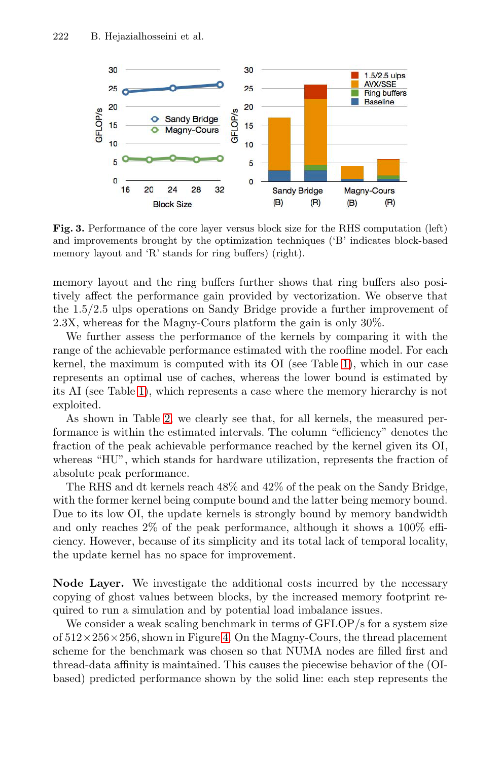#### 222 B. Hejazialhosseini et al.

<span id="page-6-0"></span>

**Fig. 3.** Performance of the core layer versus block size for the RHS computation (left) and improvements brought by the optimization techniques ('B' indicates block-based memory layout and 'R' stands for ring buff[ers](#page-3-1)) (right).

[m](#page-3-1)emory layout and the ring buffers further shows that ring buffers also positively affect the performance gain provided by vectorization. We observe that the [1.5](#page-7-0)/2.5 ulps operations on Sandy Bridge provide a further improvement of 2.3X, whereas for the Magny-Cours platform the gain is only 30%.

We further assess the performance of the kernels by comparing it with the range of the achievable performance estimated with the roofline model. For each kernel, the maximum is computed with its OI (see Table 1), which in our case represents an optimal use of caches, whereas the lower bound is estimated by its AI (see Table 1), which represents a case where the memory hierarchy is not exploited.

As shown in Table 2, we clearly see that, for all kernels, the measured performance is within the estimated intervals. The column "efficiency" denotes the fraction of the peak achievable performance reached by the kernel given its OI, whereas "HU", which stands for hardware utilization, represents the fraction of absolute peak performance.

The RHS and dt kernels reach 48% and 42% of the peak on the Sandy Bridge, with the former kernel being compute bound and the latter being memory bound. Due to its low OI, the update kernels is strongly bound by memory bandwidth and only reach[es](#page-7-1)  $2\%$  of the peak performance, although it shows a  $100\%$  efficiency. However, because of its simplicity and its total lack of temporal locality, the update kernel has no space for improvement.

**Node Layer.** We investigate the additional costs incurred by the necessary copying of ghost values between blocks, by the increased memory footprint required to run a simulation and by potential load imbalance issues.

We consider a weak scaling benchmark in terms of GFLOP/s for a system size of  $512 \times 256 \times 256$ , shown in Figure 4. On the Magny-Cours, the thread placement scheme for the benchmark was chosen so that NUMA nodes are filled first and thread-data affinity is maintained. This causes the piecewise behavior of the (OIbased) predicted performance shown by the solid line: each step represents the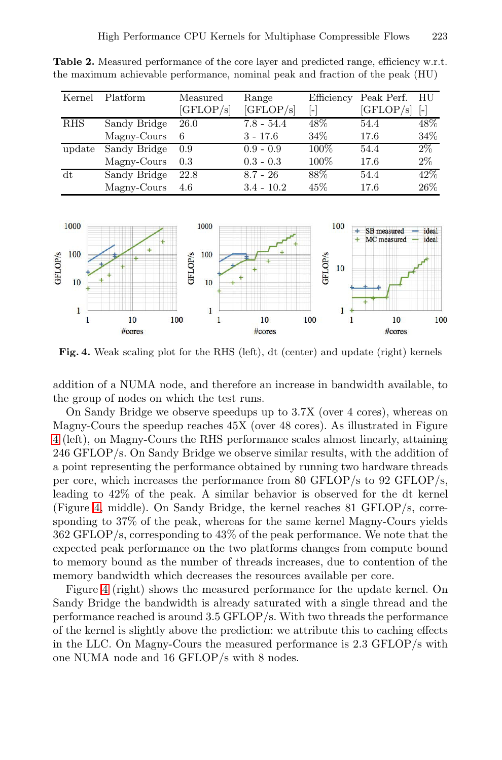<span id="page-7-0"></span>**Table 2.** Measured performance of the core layer and predicted range, efficiency w.r.t. the maximum achievable performance, nominal peak and fraction of the peak (HU)

<span id="page-7-1"></span>

| Kernel     | Platform     | Measured  | Range        | Efficiency | Peak Perf. | HU              |
|------------|--------------|-----------|--------------|------------|------------|-----------------|
|            |              | [GFLOP/s] | [GFLOP/s]    | l-         | [GFLOP/s]  | $\vert - \vert$ |
| <b>RHS</b> | Sandy Bridge | 26.0      | $7.8 - 54.4$ | 48\%       | 54.4       | 48\%            |
|            | Magny-Cours  | 6         | $3 - 17.6$   | 34\%       | 17.6       | 34\%            |
| update     | Sandy Bridge | 0.9       | $0.9 - 0.9$  | $100\%$    | 54.4       | $2\%$           |
|            | Magny-Cours  | 0.3       | $0.3 - 0.3$  | 100%       | 17.6       | $2\%$           |
| dt         | Sandy Bridge | 22.8      | $8.7 - 26$   | 88\%       | 54.4       | $42\%$          |
|            | Magny-Cours  | 4.6       | $3.4 - 10.2$ | 45\%       | 17.6       | 26%             |



Fig. 4. Weak scaling plot for the RHS (left), dt (center) and update (right) kernels

addition of a NUMA node, and therefore an increase in bandwidth available, to the group of nodes on which the test runs.

On Sandy Bridge we observe speedups up to 3.7X (over 4 cores), whereas on Magny-Cours the speedup reaches 45X (over 48 cores). As illustrated in Figure 4 (left), on Magny-Cours the RHS performance scales almost linearly, attaining 246 GFLOP/s. On Sandy Bridge we observe similar results, with the addition of a point representing the performance obtained by running two hardware threads per core, which increases the performance from 80 GFLOP/s to 92 GFLOP/s, leading to 42% of the peak. A similar behavior is observed for the dt kernel (Figure 4, middle). On Sandy Bridge, the kernel reaches 81 GFLOP/s, corresponding to 37% of the peak, whereas for the same kernel Magny-Cours yields 362 GFLOP/s, corresponding to 43% of the peak performance. We note that the expected peak performance on the two platforms changes from compute bound to memory bound as the number of threads increases, due to contention of the memory bandwidth which decreases the resources available per core.

Figure 4 (right) shows the measured performance for the update kernel. On Sandy Bridge the bandwidth is already saturated with a single thread and the performance reached is around 3.5 GFLOP/s. With two threads the performance of the kernel is slightly above the prediction: we attribute this to caching effects in the LLC. On Magny-Cours the measured performance is 2.3 GFLOP/s with one NUMA node and 16 GFLOP/s with 8 nodes.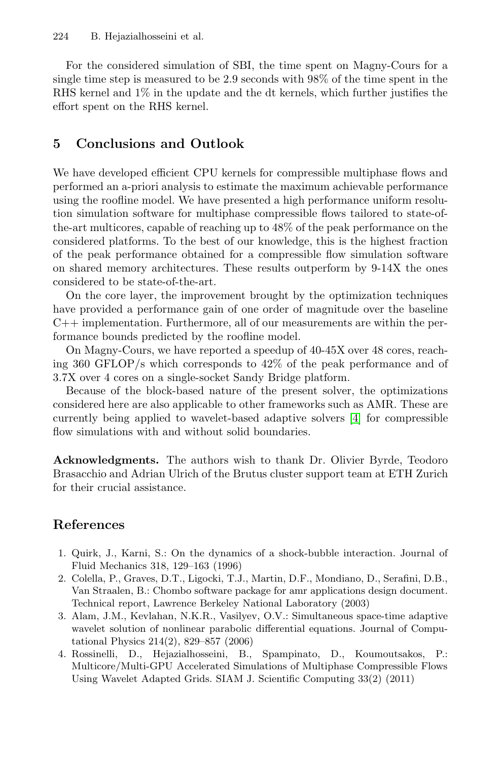224 B. Hejazialhosseini et al.

For the considered simulation of SBI, the time spent on Magny-Cours for a single time step is measured to be 2.9 seconds with 98% of the time spent in the RHS kernel and 1% in the update and the dt kernels, which further justifies the effort spent on the RHS kernel.

## **5 Conclusions and Outlook**

We have developed efficient CPU kernels for compressible multiphase flows and performed an a-priori analysis to estimate the maximum achievable performance using the roofline model. We have presented a high performance uniform resolution simulation software for multiphase compressible flows tailored to state-ofthe-art multicores, capable of reaching up to 48% of the peak performance on the considered platforms. To the best of our knowledge, this is the highest fraction of the peak performance obtained for a compressible flow simulation software on shared memory architectures. These results outperform by 9-14X the ones considered to be state-of-the-art.

On the core layer, the improvement brought by the optimization techniques have provided a performance gain of one [or](#page-8-1)der of magnitude over the baseline C++ implementation. Furthermore, all of our measurements are within the performance bounds predicted by the roofline model.

On Magny-Cours, we have reported a speedup of 40-45X over 48 cores, reaching 360 GFLOP/s which corresponds to 42% of the peak performance and of 3.7X over 4 cores on a single-socket Sandy Bridge platform.

<span id="page-8-0"></span>Because of the block-based nature of the present solver, the optimizations considered here are also applicable to other frameworks such as AMR. These are currently being applied to wavelet-based adaptive solvers [4] for compressible flow simulations with and without solid boundaries.

<span id="page-8-1"></span>**Acknowledgments.** The authors wish to thank Dr. Olivier Byrde, Teodoro Brasacchio and Adrian Ulrich of the Brutus cluster support team at ETH Zurich for their crucial assistance.

## **References**

- 1. Quirk, J., Karni, S.: On the dynamics of a shock-bubble interaction. Journal of Fluid Mechanics 318, 129–163 (1996)
- 2. Colella, P., Graves, D.T., Ligocki, T.J., Martin, D.F., Mondiano, D., Serafini, D.B., Van Straalen, B.: Chombo software package for amr applications design document. Technical report, Lawrence Berkeley National Laboratory (2003)
- 3. Alam, J.M., Kevlahan, N.K.R., Vasilyev, O.V.: Simultaneous space-time adaptive wavelet solution of nonlinear parabolic differential equations. Journal of Computational Physics 214(2), 829–857 (2006)
- 4. Rossinelli, D., Hejazialhosseini, B., Spampinato, D., Koumoutsakos, P.: Multicore/Multi-GPU Accelerated Simulations of Multiphase Compressible Flows Using Wavelet Adapted Grids. SIAM J. Scientific Computing 33(2) (2011)